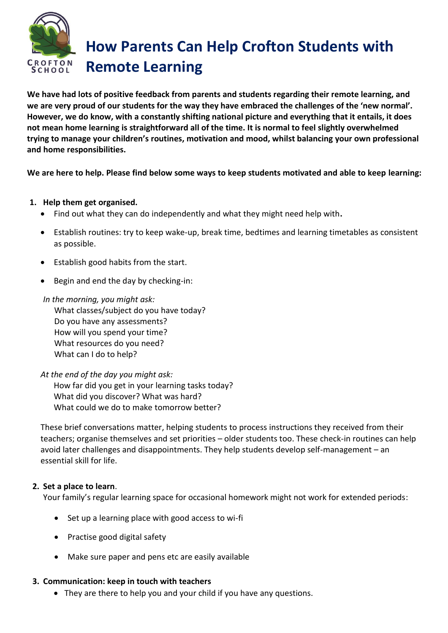

# **How Parents Can Help Crofton Students with Remote Learning**

**We have had lots of positive feedback from parents and students regarding their remote learning, and we are very proud of our students for the way they have embraced the challenges of the 'new normal'. However, we do know, with a constantly shifting national picture and everything that it entails, it does not mean home learning is straightforward all of the time. It is normal to feel slightly overwhelmed trying to manage your children's routines, motivation and mood, whilst balancing your own professional and home responsibilities.**

**We are here to help. Please find below some ways to keep students motivated and able to keep learning:**

- **1. Help them get organised.** 
	- Find out what they can do independently and what they might need help with**.**
	- Establish routines: try to keep wake-up, break time, bedtimes and learning timetables as consistent as possible.
	- Establish good habits from the start.
	- Begin and end the day by checking-in:

*In the morning, you might ask:* What classes/subject do you have today? Do you have any assessments? How will you spend your time? What resources do you need?

What can I do to help?

*At the end of the day you might ask:* How far did you get in your learning tasks today? What did you discover? What was hard? What could we do to make tomorrow better?

These brief conversations matter, helping students to process instructions they received from their teachers; organise themselves and set priorities – older students too. These check-in routines can help avoid later challenges and disappointments. They help students develop self-management – an essential skill for life.

## **2. Set a place to learn**.

Your family's regular learning space for occasional homework might not work for extended periods:

- Set up a learning place with good access to wi-fi
- Practise good digital safety
- Make sure paper and pens etc are easily available

### **3. Communication: keep in touch with teachers**

• They are there to help you and your child if you have any questions.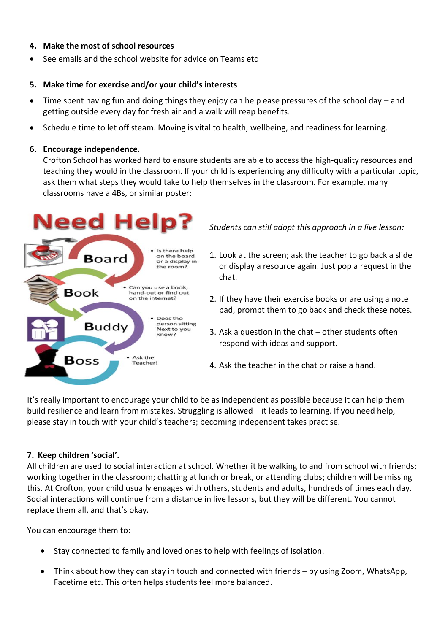## **4. Make the most of school resources**

• See emails and the school website for advice on Teams etc

## **5. Make time for exercise and/or your child's interests**

- Time spent having fun and doing things they enjoy can help ease pressures of the school day and getting outside every day for fresh air and a walk will reap benefits.
- Schedule time to let off steam. Moving is vital to health, wellbeing, and readiness for learning.

### **6. Encourage independence.**

Crofton School has worked hard to ensure students are able to access the high-quality resources and teaching they would in the classroom. If your child is experiencing any difficulty with a particular topic, ask them what steps they would take to help themselves in the classroom. For example, many classrooms have a 4Bs, or similar poster:

### **Need Help?** Is there help on the board **Board** or a display in the room? Can you use a book, **Book** hand-out or find out on the internet? • Does the person sitting **Buddy** Next to you know? **Boss** Ask the **Feacher!**

*Students can still adopt this approach in a live lesson:*

- 1. Look at the screen; ask the teacher to go back a slide or display a resource again. Just pop a request in the chat.
- 2. If they have their exercise books or are using a note pad, prompt them to go back and check these notes.
- 3. Ask a question in the chat other students often respond with ideas and support.
- 4. Ask the teacher in the chat or raise a hand.

It's really important to encourage your child to be as independent as possible because it can help them build resilience and learn from mistakes. Struggling is allowed – it leads to learning. If you need help, please stay in touch with your child's teachers; becoming independent takes practise.

## **7. Keep children 'social'.**

All children are used to social interaction at school. Whether it be walking to and from school with friends; working together in the classroom; chatting at lunch or break, or attending clubs; children will be missing this. At Crofton, your child usually engages with others, students and adults, hundreds of times each day. Social interactions will continue from a distance in live lessons, but they will be different. You cannot replace them all, and that's okay.

You can encourage them to:

- Stay connected to family and loved ones to help with feelings of isolation.
- Think about how they can stay in touch and connected with friends by using Zoom, WhatsApp, Facetime etc. This often helps students feel more balanced.